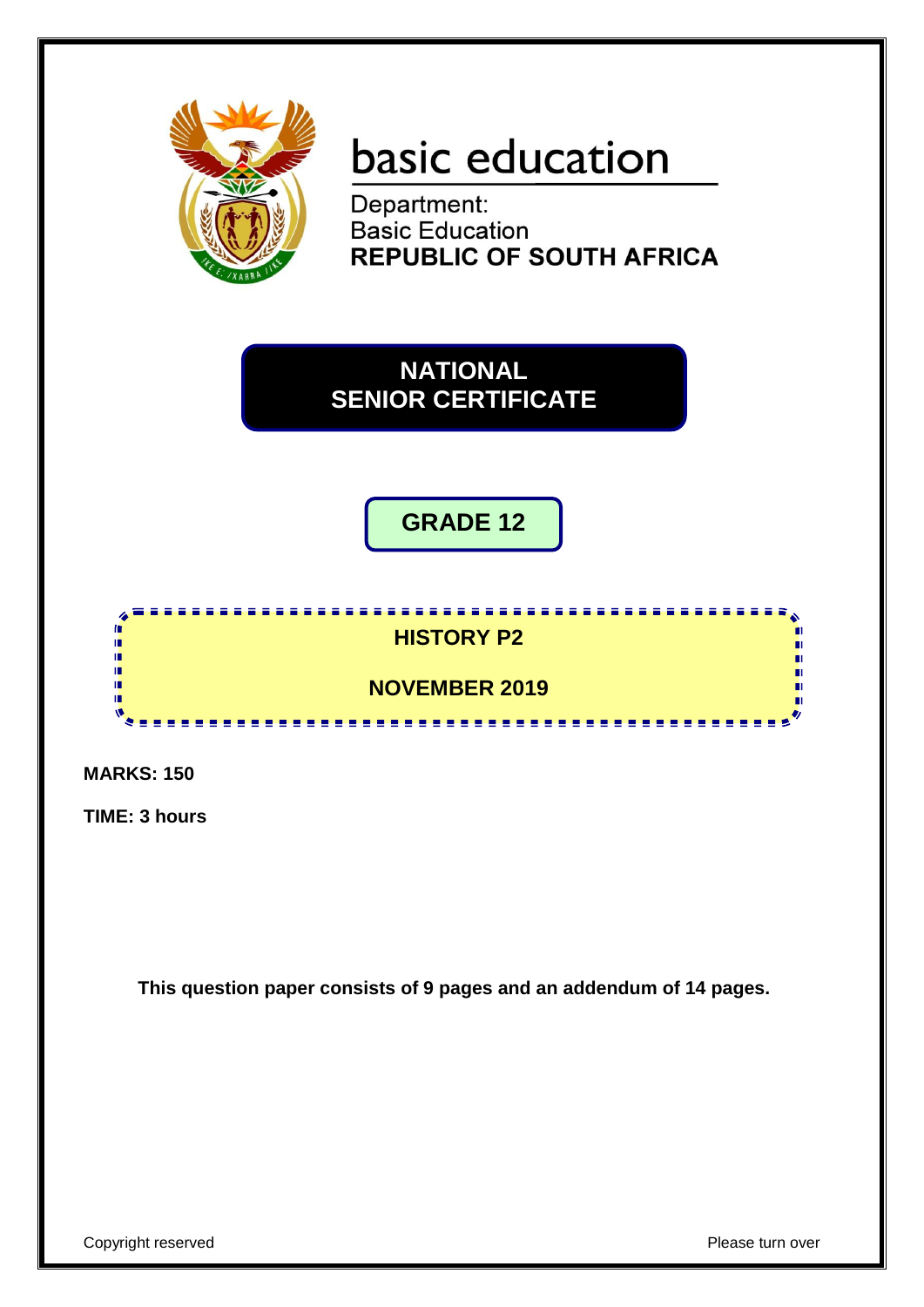

# basic education

Department: **Basic Education REPUBLIC OF SOUTH AFRICA** 

**NATIONAL SENIOR CERTIFICATE**

**GRADE 12**

# **HISTORY P2**

<u>. . . . . . . . . . . . . . . . .</u>

# **NOVEMBER 2019**

**MARKS: 150**

10 m Ń

**TIME: 3 hours** 

**This question paper consists of 9 pages and an addendum of 14 pages.**

П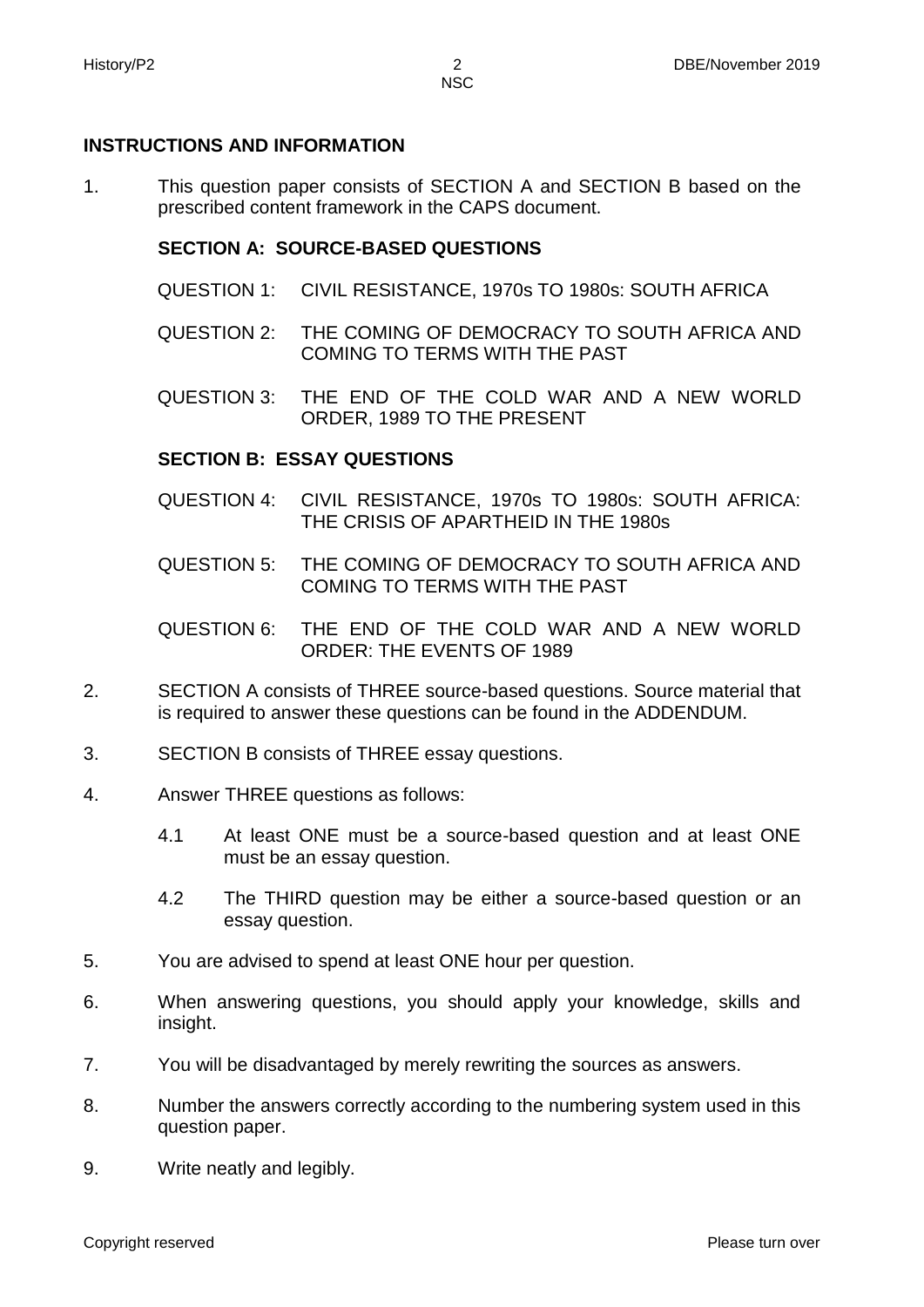#### **INSTRUCTIONS AND INFORMATION**

1. This question paper consists of SECTION A and SECTION B based on the prescribed content framework in the CAPS document.

#### **SECTION A: SOURCE-BASED QUESTIONS**

- QUESTION 1: CIVIL RESISTANCE, 1970s TO 1980s: SOUTH AFRICA
- QUESTION 2: THE COMING OF DEMOCRACY TO SOUTH AFRICA AND COMING TO TERMS WITH THE PAST
- QUESTION 3: THE END OF THE COLD WAR AND A NEW WORLD ORDER, 1989 TO THE PRESENT

#### **SECTION B: ESSAY QUESTIONS**

- QUESTION 4: CIVIL RESISTANCE, 1970s TO 1980s: SOUTH AFRICA: THE CRISIS OF APARTHEID IN THE 1980s
- QUESTION 5: THE COMING OF DEMOCRACY TO SOUTH AFRICA AND COMING TO TERMS WITH THE PAST
- QUESTION 6: THE END OF THE COLD WAR AND A NEW WORLD ORDER: THE EVENTS OF 1989
- 2. SECTION A consists of THREE source-based questions. Source material that is required to answer these questions can be found in the ADDENDUM.
- 3. SECTION B consists of THREE essay questions.
- 4. Answer THREE questions as follows:
	- 4.1 At least ONE must be a source-based question and at least ONE must be an essay question.
	- 4.2 The THIRD question may be either a source-based question or an essay question.
- 5. You are advised to spend at least ONE hour per question.
- 6. When answering questions, you should apply your knowledge, skills and insight.
- 7. You will be disadvantaged by merely rewriting the sources as answers.
- 8. Number the answers correctly according to the numbering system used in this question paper.
- 9. Write neatly and legibly.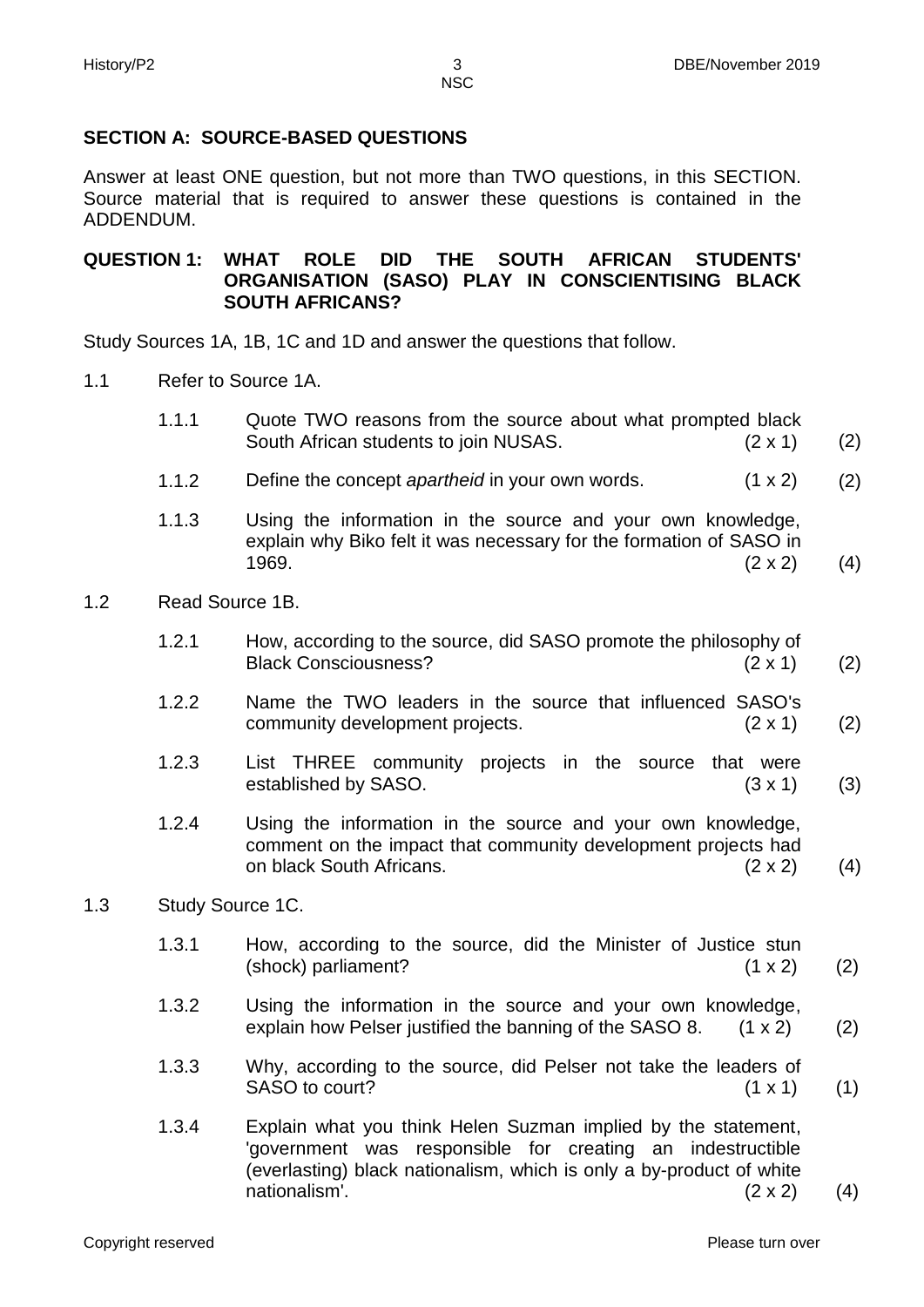### **SECTION A: SOURCE-BASED QUESTIONS**

Answer at least ONE question, but not more than TWO questions, in this SECTION. Source material that is required to answer these questions is contained in the ADDENDUM.

#### **QUESTION 1: WHAT ROLE DID THE SOUTH AFRICAN STUDENTS' ORGANISATION (SASO) PLAY IN CONSCIENTISING BLACK SOUTH AFRICANS?**

Study Sources 1A, 1B, 1C and 1D and answer the questions that follow.

- 1.1 Refer to Source 1A.
	- 1.1.1 Quote TWO reasons from the source about what prompted black South African students to join NUSAS. (2 x 1) (2)
	- 1.1.2 Define the concept *apartheid* in your own words. (1 x 2) (2)
	- 1.1.3 Using the information in the source and your own knowledge, explain why Biko felt it was necessary for the formation of SASO in 1969.  $(2 \times 2)$ (4)
- 1.2 Read Source 1B.
	- 1.2.1 How, according to the source, did SASO promote the philosophy of Black Consciousness? (2 x 1) (2)
	- 1.2.2 Name the TWO leaders in the source that influenced SASO's community development projects. (2 x 1) (2)
	- 1.2.3 List THREE community projects in the source that were established by SASO. (3 x 1) (3)
	- 1.2.4 Using the information in the source and your own knowledge, comment on the impact that community development projects had on black South Africans. (2 x 2) (4)
- 1.3 Study Source 1C.
	- 1.3.1 How, according to the source, did the Minister of Justice stun (shock) parliament? (1 x 2) (2)
	- 1.3.2 Using the information in the source and your own knowledge, explain how Pelser justified the banning of the SASO 8.  $(1 \times 2)$ (2)
	- 1.3.3 Why, according to the source, did Pelser not take the leaders of SASO to court? (1 x 1) (1)
	- 1.3.4 Explain what you think Helen Suzman implied by the statement, 'government was responsible for creating an indestructible (everlasting) black nationalism, which is only a by-product of white nationalism'. (2 x 2) (4)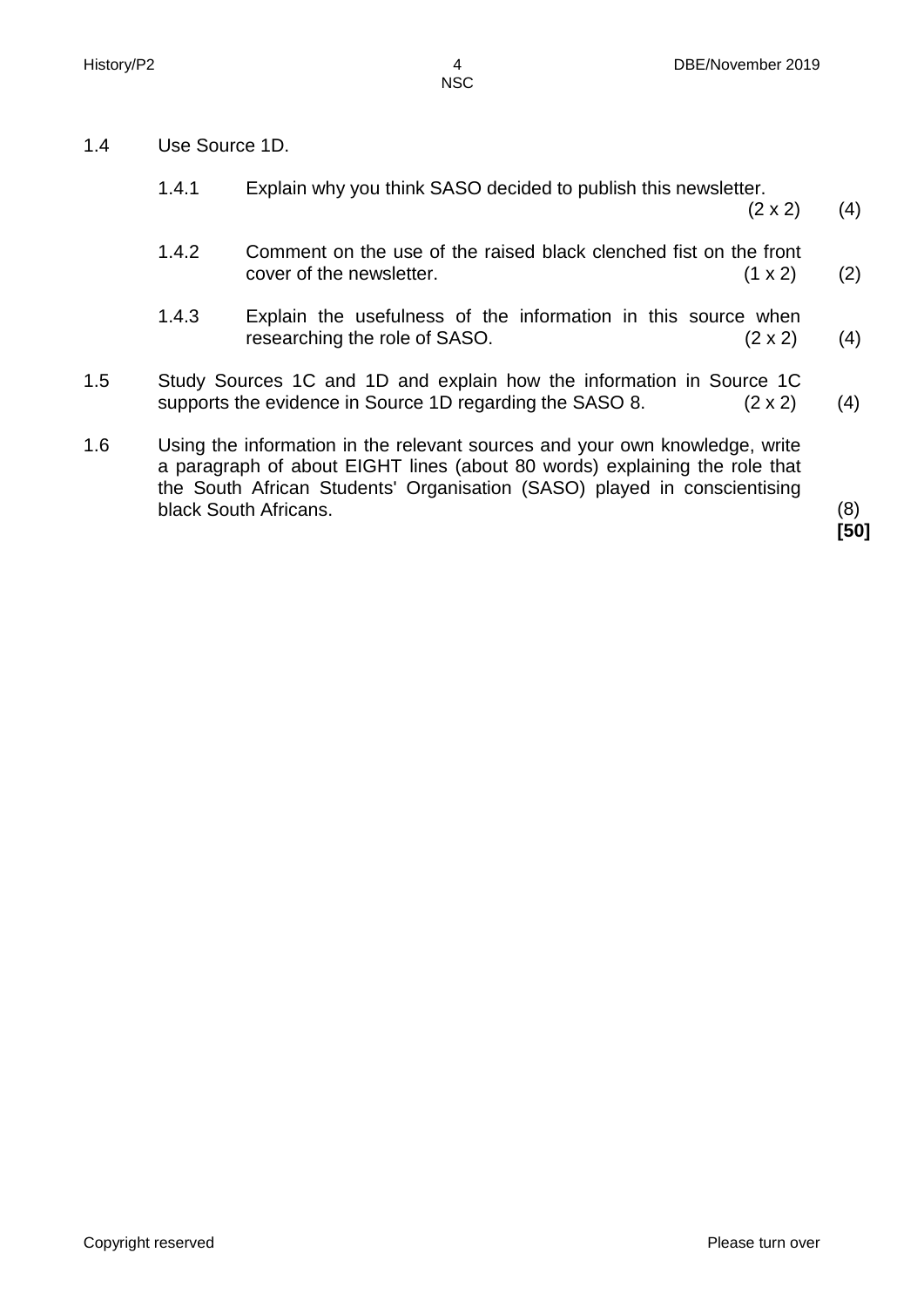1.4 Use Source 1D.

|     | 1.4.1 | Explain why you think SASO decided to publish this newsletter.<br>$(2 \times 2)$                                                                                                                                                                               | (4) |
|-----|-------|----------------------------------------------------------------------------------------------------------------------------------------------------------------------------------------------------------------------------------------------------------------|-----|
|     | 1.4.2 | Comment on the use of the raised black clenched fist on the front<br>cover of the newsletter.<br>$(1 \times 2)$                                                                                                                                                | (2) |
|     | 1.4.3 | Explain the usefulness of the information in this source when<br>researching the role of SASO.<br>$(2 \times 2)$                                                                                                                                               | (4) |
| 1.5 |       | Study Sources 1C and 1D and explain how the information in Source 1C<br>supports the evidence in Source 1D regarding the SASO 8.<br>$(2 \times 2)$                                                                                                             |     |
| 1.6 |       | Using the information in the relevant sources and your own knowledge, write<br>a paragraph of about EIGHT lines (about 80 words) explaining the role that<br>the South African Students' Organisation (SASO) played in conscientising<br>black South Africans. | (8) |

**[50]**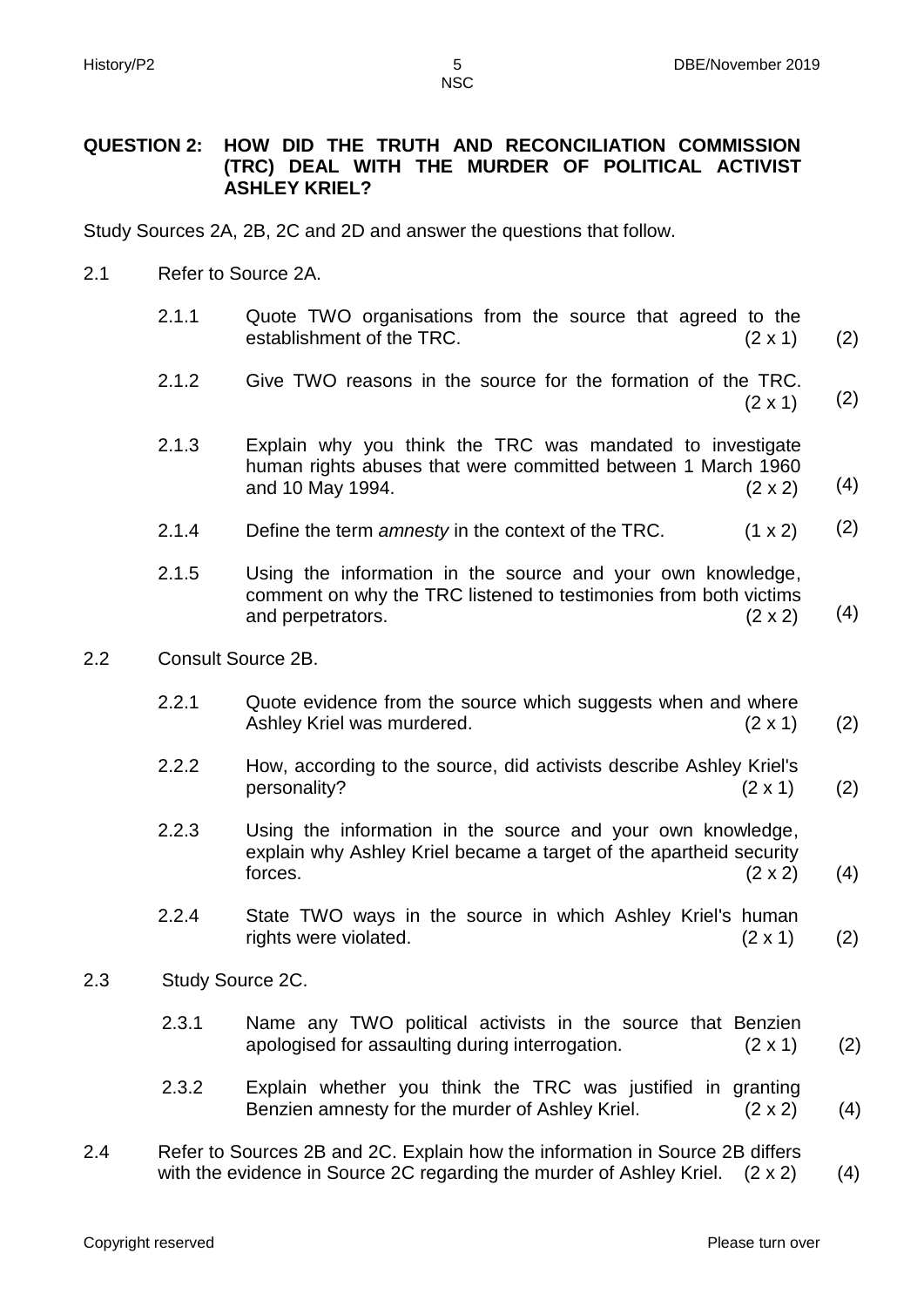**NSC** 

#### **QUESTION 2: HOW DID THE TRUTH AND RECONCILIATION COMMISSION (TRC) DEAL WITH THE MURDER OF POLITICAL ACTIVIST ASHLEY KRIEL?**

Study Sources 2A, 2B, 2C and 2D and answer the questions that follow.

- 2.1 Refer to Source 2A.
	- 2.1.1 Quote TWO organisations from the source that agreed to the establishment of the TRC. (2 x 1) (2)
	- 2.1.2 Give TWO reasons in the source for the formation of the TRC.  $(2 \times 1)$ (2)
	- 2.1.3 Explain why you think the TRC was mandated to investigate human rights abuses that were committed between 1 March 1960 and 10 May 1994. (2 x 2) (4)
	- 2.1.4 Define the term *amnesty* in the context of the TRC. (1 x 2) (2)
	- 2.1.5 Using the information in the source and your own knowledge, comment on why the TRC listened to testimonies from both victims and perpetrators. (2 x 2) (4)
- 2.2 Consult Source 2B.
	- 2.2.1 Quote evidence from the source which suggests when and where Ashley Kriel was murdered. (2 x 1) (2)
	- 2.2.2 How, according to the source, did activists describe Ashley Kriel's personality? (2 x 1) (2)
	- 2.2.3 Using the information in the source and your own knowledge, explain why Ashley Kriel became a target of the apartheid security forces.  $(2 \times 2)$ (4)
	- 2.2.4 State TWO ways in the source in which Ashley Kriel's human rights were violated. (2 x 1) (2)
- 2.3 Study Source 2C.
	- 2.3.1 Name any TWO political activists in the source that Benzien apologised for assaulting during interrogation. (2 x 1) (2)
	- 2.3.2 Explain whether you think the TRC was justified in granting Benzien amnesty for the murder of Ashley Kriel. (2 x 2) (4)
- 2.4 Refer to Sources 2B and 2C. Explain how the information in Source 2B differs with the evidence in Source 2C regarding the murder of Ashley Kriel.  $(2 \times 2)$  (4)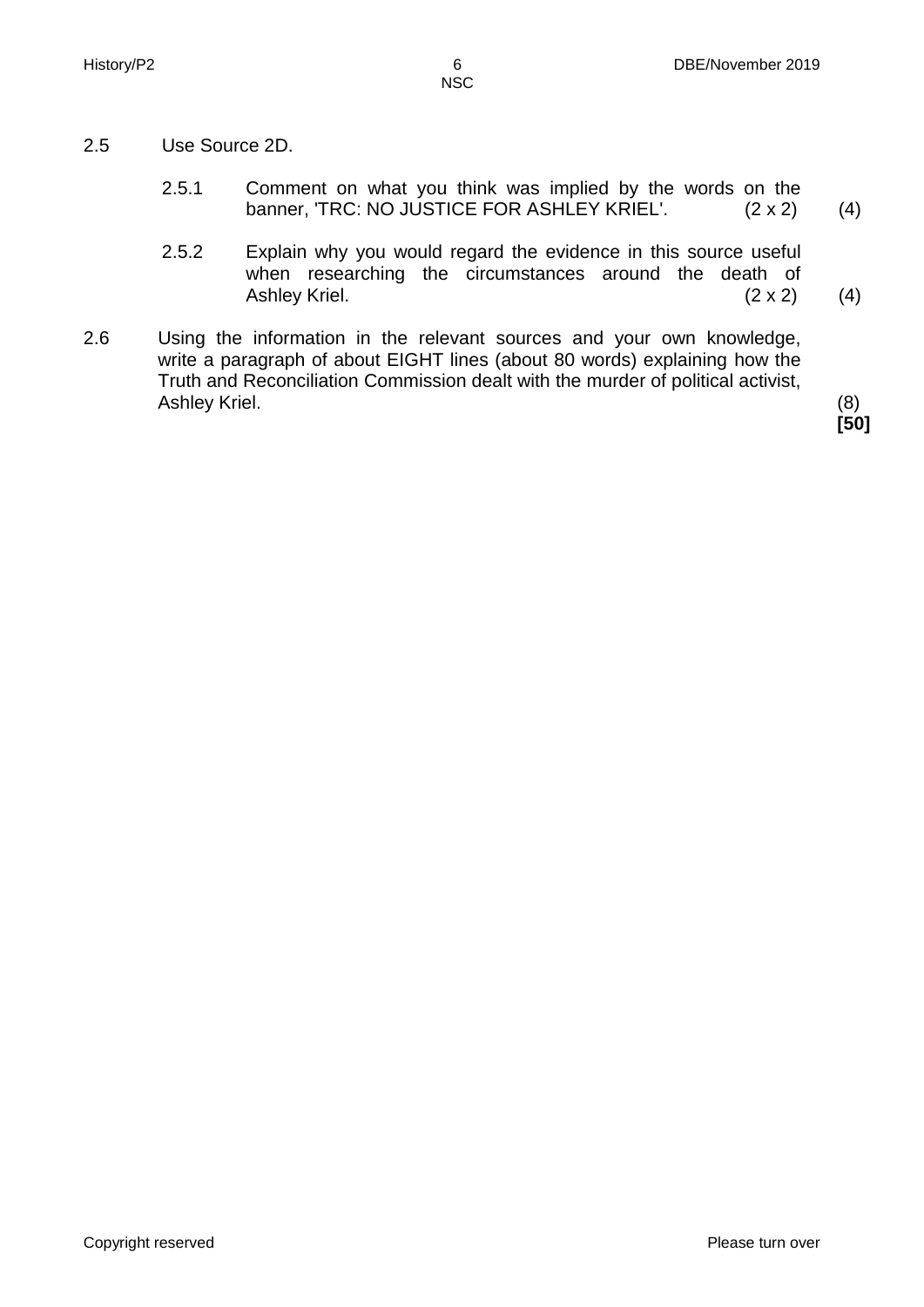- 2.5 Use Source 2D.
	- 2.5.1 Comment on what you think was implied by the words on the banner, 'TRC: NO JUSTICE FOR ASHLEY KRIEL'. (2 x 2) (4)
	- 2.5.2 Explain why you would regard the evidence in this source useful when researching the circumstances around the death of Ashley Kriel. (2 x 2) (4)
- 2.6 Using the information in the relevant sources and your own knowledge, write a paragraph of about EIGHT lines (about 80 words) explaining how the Truth and Reconciliation Commission dealt with the murder of political activist, Ashley Kriel. (8)

**[50]**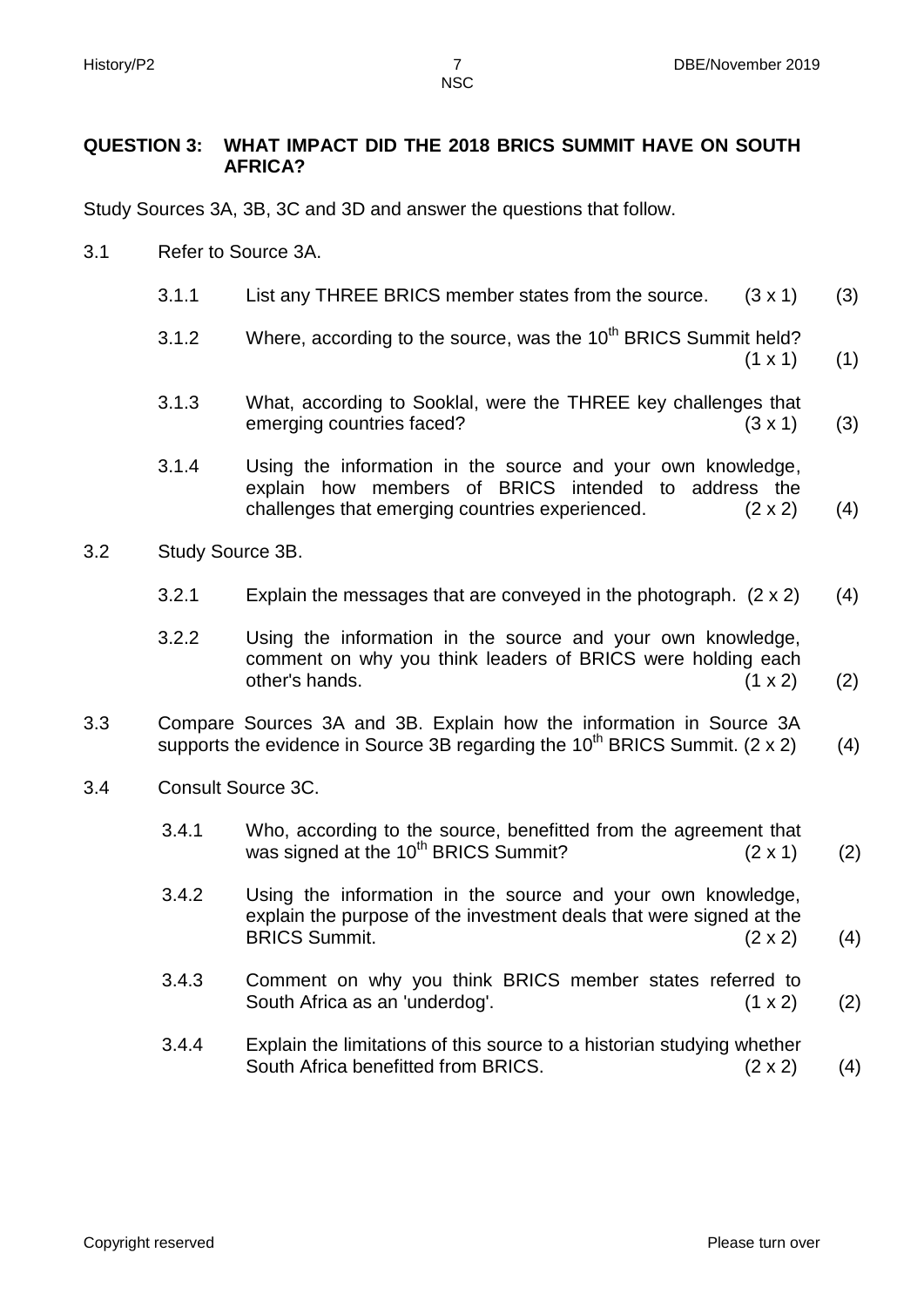**NSC** 

#### **QUESTION 3: WHAT IMPACT DID THE 2018 BRICS SUMMIT HAVE ON SOUTH AFRICA?**

Study Sources 3A, 3B, 3C and 3D and answer the questions that follow.

- 3.1 Refer to Source 3A.
	- 3.1.1 List any THREE BRICS member states from the source. (3 x 1) (3)
	- 3.1.2 Where, according to the source, was the  $10<sup>th</sup>$  BRICS Summit held?  $(1 \times 1)$ (1)
	- 3.1.3 What, according to Sooklal, were the THREE key challenges that emerging countries faced? (3 x 1) (3)
	- 3.1.4 Using the information in the source and your own knowledge, explain how members of BRICS intended to address the challenges that emerging countries experienced. (2 x 2) (4)
- 3.2 Study Source 3B.
	- 3.2.1 Explain the messages that are conveyed in the photograph. (2 x 2) (4)
	- 3.2.2 Using the information in the source and your own knowledge, comment on why you think leaders of BRICS were holding each other's hands.  $(1 \times 2)$ (2)
- 3.3 Compare Sources 3A and 3B. Explain how the information in Source 3A supports the evidence in Source 3B regarding the  $10^{th}$  BRICS Summit. (2 x 2) (4)
- 3.4 Consult Source 3C.
	- 3.4.1 Who, according to the source, benefitted from the agreement that was signed at the 10<sup>th</sup> BRICS Summit?  $(2 \times 1)$ (2)
	- 3.4.2 Using the information in the source and your own knowledge, explain the purpose of the investment deals that were signed at the BRICS Summit. (2 x 2) (4)
	- 3.4.3 Comment on why you think BRICS member states referred to South Africa as an 'underdog'. (1 x 2) (2)
	- 3.4.4 Explain the limitations of this source to a historian studying whether South Africa benefitted from BRICS. (2 x 2) (4)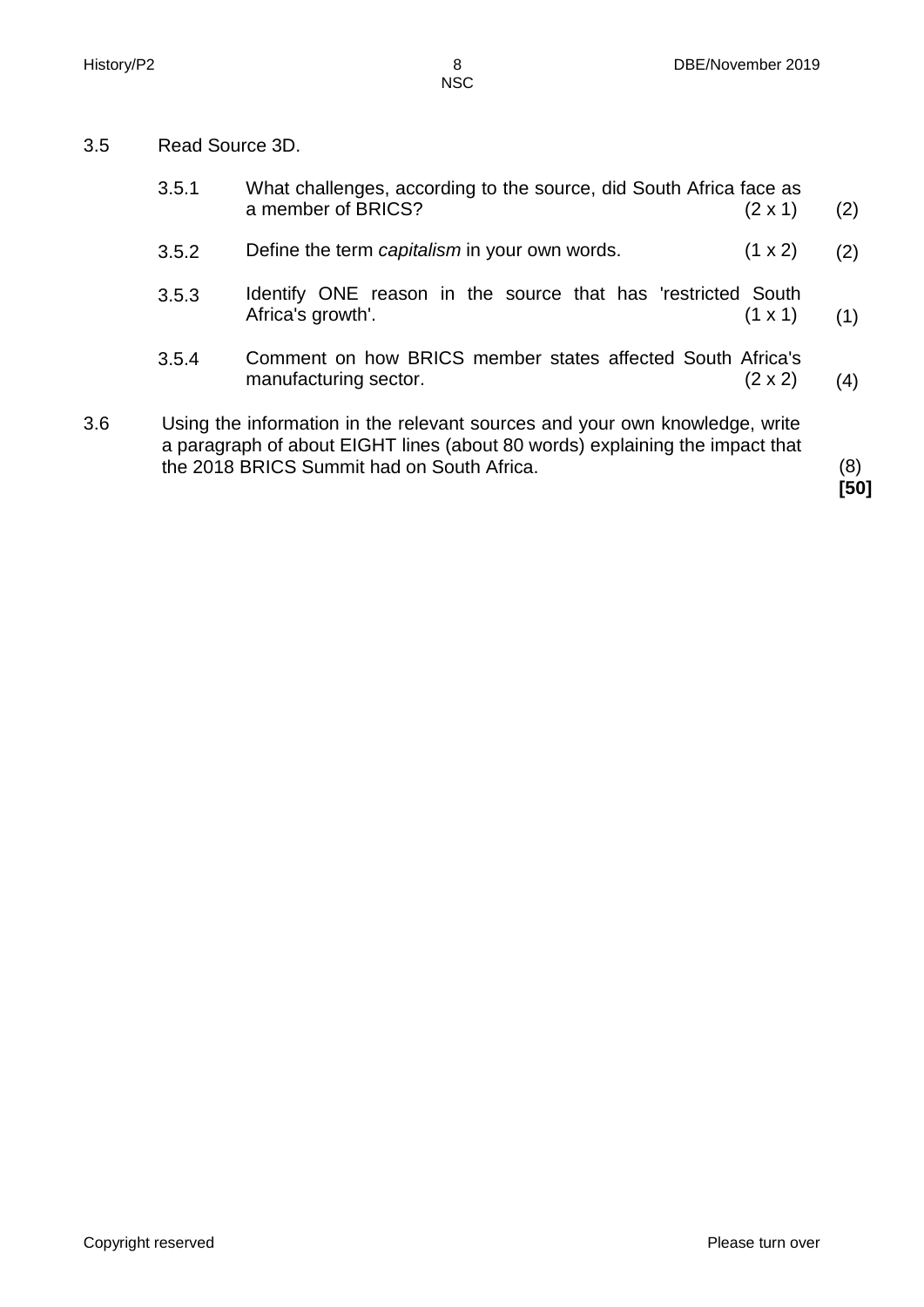3.5 Read Source 3D.

|     | 3.5.1 | What challenges, according to the source, did South Africa face as<br>a member of BRICS?<br>$(2 \times 1)$                                                                                                | (2) |
|-----|-------|-----------------------------------------------------------------------------------------------------------------------------------------------------------------------------------------------------------|-----|
|     | 3.5.2 | Define the term capitalism in your own words.<br>$(1 \times 2)$                                                                                                                                           | (2) |
|     | 3.5.3 | Identify ONE reason in the source that has 'restricted South<br>Africa's growth'.<br>$(1 \times 1)$                                                                                                       | (1) |
|     | 3.5.4 | Comment on how BRICS member states affected South Africa's<br>manufacturing sector.<br>$(2 \times 2)$                                                                                                     | (4) |
| 3.6 |       | Using the information in the relevant sources and your own knowledge, write<br>a paragraph of about EIGHT lines (about 80 words) explaining the impact that<br>the 2018 BRICS Summit had on South Africa. | (8) |

**[50]**

Copyright reserved **Please turn over** Please turn over